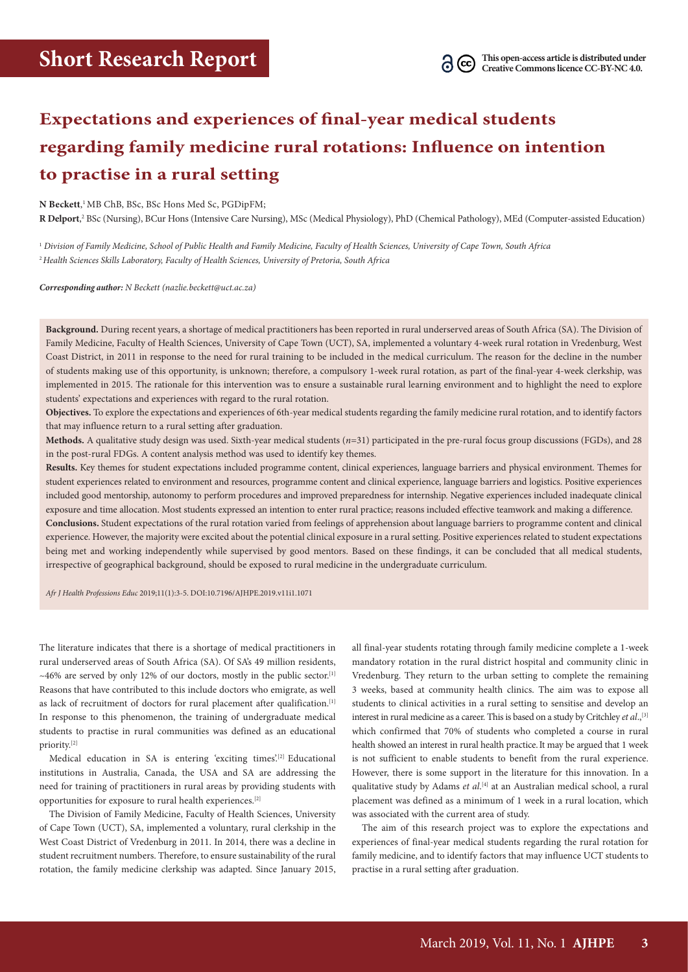# **Expectations and experiences of final-year medical students regarding family medicine rural rotations: Influence on intention to practise in a rural setting**

**N Beckett**, 1 MB ChB, BSc, BSc Hons Med Sc, PGDipFM;

R Delport,<sup>2</sup> BSc (Nursing), BCur Hons (Intensive Care Nursing), MSc (Medical Physiology), PhD (Chemical Pathology), MEd (Computer-assisted Education)

<sup>1</sup> *Division of Family Medicine, School of Public Health and Family Medicine, Faculty of Health Sciences, University of Cape Town, South Africa* <sup>2</sup>*Health Sciences Skills Laboratory, Faculty of Health Sciences, University of Pretoria, South Africa*

*Corresponding author: N Beckett (nazlie.beckett@uct.ac.za)*

**Background.** During recent years, a shortage of medical practitioners has been reported in rural underserved areas of South Africa (SA). The Division of Family Medicine, Faculty of Health Sciences, University of Cape Town (UCT), SA, implemented a voluntary 4-week rural rotation in Vredenburg, West Coast District, in 2011 in response to the need for rural training to be included in the medical curriculum. The reason for the decline in the number of students making use of this opportunity, is unknown; therefore, a compulsory 1-week rural rotation, as part of the final-year 4-week clerkship, was implemented in 2015. The rationale for this intervention was to ensure a sustainable rural learning environment and to highlight the need to explore students' expectations and experiences with regard to the rural rotation.

**Objectives.** To explore the expectations and experiences of 6th-year medical students regarding the family medicine rural rotation, and to identify factors that may influence return to a rural setting after graduation.

**Methods.** A qualitative study design was used. Sixth-year medical students (*n*=31) participated in the pre-rural focus group discussions (FGDs), and 28 in the post-rural FDGs. A content analysis method was used to identify key themes.

**Results.** Key themes for student expectations included programme content, clinical experiences, language barriers and physical environment. Themes for student experiences related to environment and resources, programme content and clinical experience, language barriers and logistics. Positive experiences included good mentorship, autonomy to perform procedures and improved preparedness for internship. Negative experiences included inadequate clinical exposure and time allocation. Most students expressed an intention to enter rural practice; reasons included effective teamwork and making a difference. **Conclusions.** Student expectations of the rural rotation varied from feelings of apprehension about language barriers to programme content and clinical experience. However, the majority were excited about the potential clinical exposure in a rural setting. Positive experiences related to student expectations being met and working independently while supervised by good mentors. Based on these findings, it can be concluded that all medical students, irrespective of geographical background, should be exposed to rural medicine in the undergraduate curriculum.

*Afr J Health Professions Educ* 2019;11(1):3-5. DOI:10.7196/AJHPE.2019.v11i1.1071

The literature indicates that there is a shortage of medical practitioners in rural underserved areas of South Africa (SA). Of SA's 49 million residents,  $~\sim$ 46% are served by only 12% of our doctors, mostly in the public sector.<sup>[1]</sup> Reasons that have contributed to this include doctors who emigrate, as well as lack of recruitment of doctors for rural placement after qualification.<sup>[1]</sup> In response to this phenomenon, the training of undergraduate medical students to practise in rural communities was defined as an educational priority.[2]

Medical education in SA is entering 'exciting times'.<sup>[2]</sup> Educational institutions in Australia, Canada, the USA and SA are addressing the need for training of practitioners in rural areas by providing students with opportunities for exposure to rural health experiences.[2]

The Division of Family Medicine, Faculty of Health Sciences, University of Cape Town (UCT), SA, implemented a voluntary, rural clerkship in the West Coast District of Vredenburg in 2011. In 2014, there was a decline in student recruitment numbers. Therefore, to ensure sustainability of the rural rotation, the family medicine clerkship was adapted. Since January 2015,

all final-year students rotating through family medicine complete a 1-week mandatory rotation in the rural district hospital and community clinic in Vredenburg. They return to the urban setting to complete the remaining 3 weeks, based at community health clinics. The aim was to expose all students to clinical activities in a rural setting to sensitise and develop an interest in rural medicine as a career. This is based on a study by Critchley *et al.*,<sup>[3]</sup> which confirmed that 70% of students who completed a course in rural health showed an interest in rural health practice.It may be argued that 1 week is not sufficient to enable students to benefit from the rural experience. However, there is some support in the literature for this innovation. In a qualitative study by Adams *et al*.<sup>[4]</sup> at an Australian medical school, a rural placement was defined as a minimum of 1 week in a rural location, which was associated with the current area of study.

The aim of this research project was to explore the expectations and experiences of final-year medical students regarding the rural rotation for family medicine, and to identify factors that may influence UCT students to practise in a rural setting after graduation.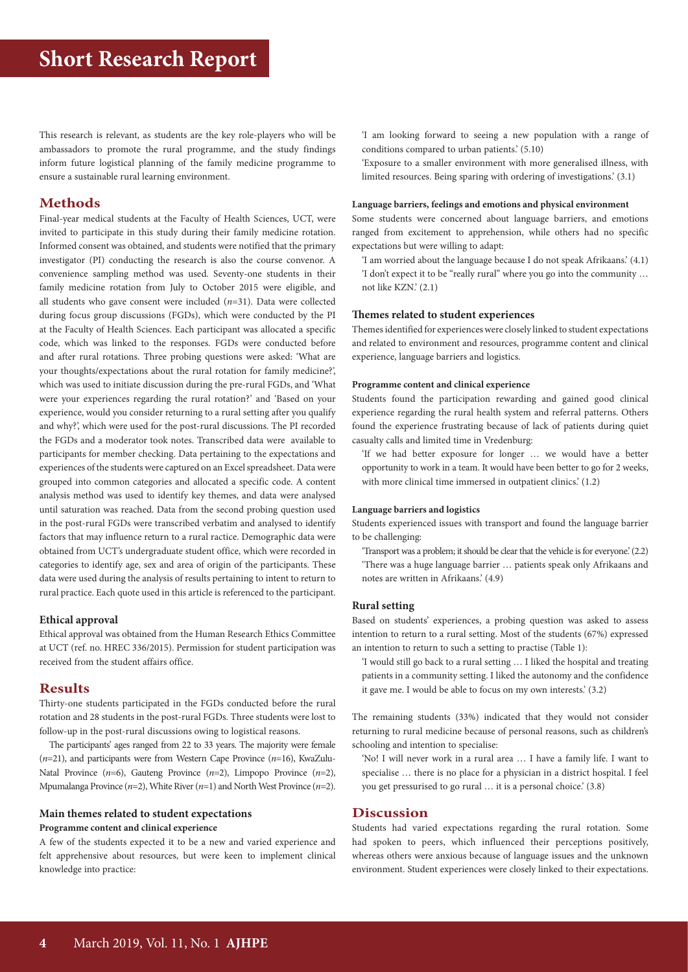This research is relevant, as students are the key role-players who will be ambassadors to promote the rural programme, and the study findings inform future logistical planning of the family medicine programme to ensure a sustainable rural learning environment.

## **Methods**

Final-year medical students at the Faculty of Health Sciences, UCT, were invited to participate in this study during their family medicine rotation. Informed consent was obtained, and students were notified that the primary investigator (PI) conducting the research is also the course convenor. A convenience sampling method was used. Seventy-one students in their family medicine rotation from July to October 2015 were eligible, and all students who gave consent were included (*n*=31). Data were collected during focus group discussions (FGDs), which were conducted by the PI at the Faculty of Health Sciences. Each participant was allocated a specific code, which was linked to the responses. FGDs were conducted before and after rural rotations. Three probing questions were asked: 'What are your thoughts/expectations about the rural rotation for family medicine?', which was used to initiate discussion during the pre-rural FGDs, and 'What were your experiences regarding the rural rotation?' and 'Based on your experience, would you consider returning to a rural setting after you qualify and why?', which were used for the post-rural discussions. The PI recorded the FGDs and a moderator took notes. Transcribed data were available to participants for member checking. Data pertaining to the expectations and experiences of the students were captured on an Excel spreadsheet. Data were grouped into common categories and allocated a specific code. A content analysis method was used to identify key themes, and data were analysed until saturation was reached. Data from the second probing question used in the post-rural FGDs were transcribed verbatim and analysed to identify factors that may influence return to a rural ractice. Demographic data were obtained from UCT's undergraduate student office, which were recorded in categories to identify age, sex and area of origin of the participants. These data were used during the analysis of results pertaining to intent to return to rural practice. Each quote used in this article is referenced to the participant.

### **Ethical approval**

Ethical approval was obtained from the Human Research Ethics Committee at UCT (ref. no. HREC 336/2015). Permission for student participation was received from the student affairs office.

## **Results**

Thirty-one students participated in the FGDs conducted before the rural rotation and 28 students in the post-rural FGDs. Three students were lost to follow-up in the post-rural discussions owing to logistical reasons.

The participants' ages ranged from 22 to 33 years. The majority were female (*n*=21), and participants were from Western Cape Province (*n*=16), KwaZulu-Natal Province (*n*=6), Gauteng Province (*n*=2), Limpopo Province (*n*=2), Mpumalanga Province (*n*=2), White River (*n*=1) and North West Province (*n*=2).

## **Main themes related to student expectations Programme content and clinical experience**

A few of the students expected it to be a new and varied experience and felt apprehensive about resources, but were keen to implement clinical knowledge into practice:

'I am looking forward to seeing a new population with a range of conditions compared to urban patients.' (5.10)

'Exposure to a smaller environment with more generalised illness, with limited resources. Being sparing with ordering of investigations.' (3.1)

#### **Language barriers, feelings and emotions and physical environment**

Some students were concerned about language barriers, and emotions ranged from excitement to apprehension, while others had no specific expectations but were willing to adapt:

'I am worried about the language because I do not speak Afrikaans.' (4.1) 'I don't expect it to be "really rural" where you go into the community … not like KZN.' (2.1)

#### **Themes related to student experiences**

Themes identified for experienceswere closely linked to student expectations and related to environment and resources, programme content and clinical experience, language barriers and logistics.

#### **Programme content and clinical experience**

Students found the participation rewarding and gained good clinical experience regarding the rural health system and referral patterns. Others found the experience frustrating because of lack of patients during quiet casualty calls and limited time in Vredenburg:

'If we had better exposure for longer … we would have a better opportunity to work in a team. It would have been better to go for 2 weeks, with more clinical time immersed in outpatient clinics.' (1.2)

#### **Language barriers and logistics**

Students experienced issues with transport and found the language barrier to be challenging:

'Transport was a problem; it should be clear that the vehicle is for everyone.' (2.2) 'There was a huge language barrier … patients speak only Afrikaans and notes are written in Afrikaans.' (4.9)

### **Rural setting**

Based on students' experiences, a probing question was asked to assess intention to return to a rural setting. Most of the students (67%) expressed an intention to return to such a setting to practise (Table 1):

'I would still go back to a rural setting … I liked the hospital and treating patients in a community setting. I liked the autonomy and the confidence it gave me. I would be able to focus on my own interests.' (3.2)

The remaining students (33%) indicated that they would not consider returning to rural medicine because of personal reasons, such as children's schooling and intention to specialise:

'No! I will never work in a rural area … I have a family life. I want to specialise … there is no place for a physician in a district hospital. I feel you get pressurised to go rural … it is a personal choice.' (3.8)

## **Discussion**

Students had varied expectations regarding the rural rotation. Some had spoken to peers, which influenced their perceptions positively, whereas others were anxious because of language issues and the unknown environment. Student experiences were closely linked to their expectations.